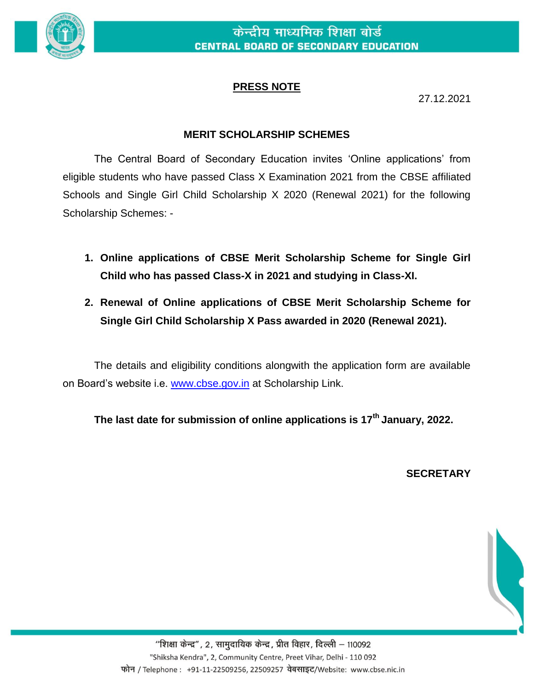

## **PRESS NOTE**

27.12.2021

## **MERIT SCHOLARSHIP SCHEMES**

The Central Board of Secondary Education invites 'Online applications' from eligible students who have passed Class X Examination 2021 from the CBSE affiliated Schools and Single Girl Child Scholarship X 2020 (Renewal 2021) for the following Scholarship Schemes: -

- **1. Online applications of CBSE Merit Scholarship Scheme for Single Girl Child who has passed Class-X in 2021 and studying in Class-XI.**
- **2. Renewal of Online applications of CBSE Merit Scholarship Scheme for Single Girl Child Scholarship X Pass awarded in 2020 (Renewal 2021).**

The details and eligibility conditions alongwith the application form are available on Board's website i.e. [www.cbse.gov.in](http://www.cbse.gov.in/) at Scholarship Link.

**The last date for submission of online applications is 17th January, 2022.** 

## **SECRETARY**



"शिक्षा केन्द्र", 2, सामुदायिक केन्द्र, प्रीत विहार, दिल्ली – 110092 "Shiksha Kendra", 2, Community Centre, Preet Vihar, Delhi - 110 092 फोन / Telephone : +91-11-22509256, 22509257 वेबसाइट/Website: www.cbse.nic.in